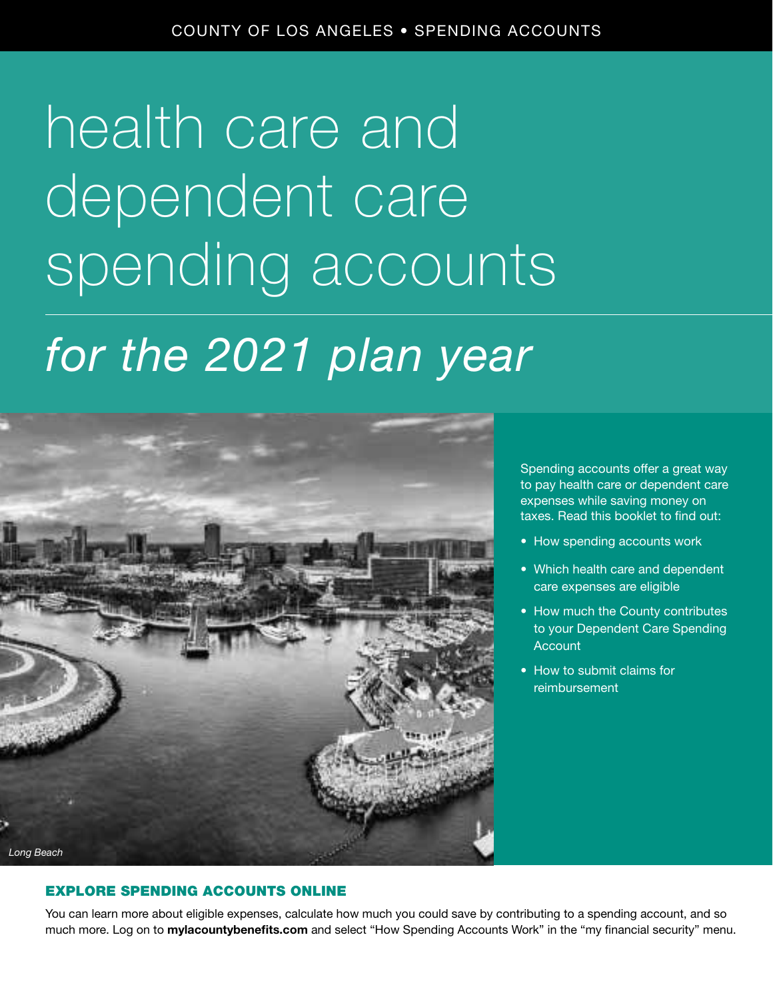### health care and dependent care spending accounts

### *for the 2021 plan year*



Spending accounts offer a great way to pay health care or dependent care expenses while saving money on taxes. Read this booklet to find out:

- How spending accounts work
- Which health care and dependent care expenses are eligible
- How much the County contributes to your Dependent Care Spending Account
- How to submit claims for reimbursement

### EXPLORE SPENDING ACCOUNTS ONLINE

You can learn more about eligible expenses, calculate how much you could save by contributing to a spending account, and so much more. Log on to mylacountybenefits.com and select "How Spending Accounts Work" in the "my financial security" menu.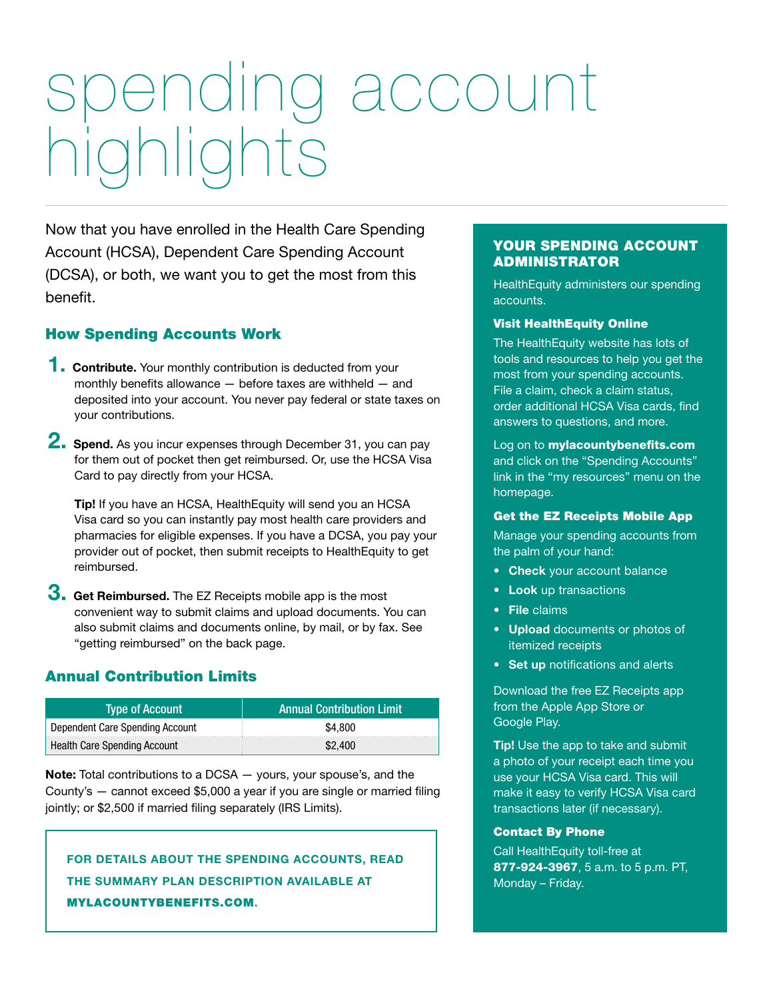## spending account highlights

Now that you have enrolled in the Health Care Spending Account (HCSA), Dependent Care Spending Account (DCSA), or both, we want you to get the most from this benefit.

### How Spending Accounts Work

- **1. Contribute.** Your monthly contribution is deducted from your monthly benefits allowance — before taxes are withheld — and deposited into your account. You never pay federal or state taxes on your contributions.
- 2. Spend. As you incur expenses through December 31, you can pay for them out of pocket then get reimbursed. Or, use the HCSA Visa Card to pay directly from your HCSA.

Tip! If you have an HCSA, HealthEquity will send you an HCSA Visa card so you can instantly pay most health care providers and pharmacies for eligible expenses. If you have a DCSA, you pay your provider out of pocket, then submit receipts to HealthEquity to get reimbursed.

 $3.$  Get Reimbursed. The EZ Receipts mobile app is the most convenient way to submit claims and upload documents. You can also submit claims and documents online, by mail, or by fax. See "getting reimbursed" on the back page.

### Annual Contribution Limits

| <b>Type of Account</b>          | <b>Annual Contribution Limit</b> |
|---------------------------------|----------------------------------|
| Dependent Care Spending Account | \$4,800                          |
| Health Care Spending Account    | \$2,400                          |

Note: Total contributions to a DCSA - yours, your spouse's, and the County's — cannot exceed \$5,000 a year if you are single or married filing jointly; or \$2,500 if married filing separately (IRS Limits).

FOR DETAILS ABOUT THE SPENDING ACCOUNTS, READ THE SUMMARY PLAN DESCRIPTION AVAILABLE AT MYLACOUNTYBENEFITS.COM.

### YOUR SPENDING ACCOUNT ADMINISTRATOR

HealthEquity administers our spending accounts.

#### Visit HealthEquity Online

The HealthEquity website has lots of tools and resources to help you get the most from your spending accounts. File a claim, check a claim status, order additional HCSA Visa cards, find answers to questions, and more.

### Log on to **mylacountybenefits.com** and click on the "Spending Accounts" link in the "my resources" menu on the homepage.

#### Get the EZ Receipts Mobile App

Manage your spending accounts from the palm of your hand:

- Check your account balance
- Look up transactions
- File claims
- Upload documents or photos of itemized receipts
- Set up notifications and alerts

Download the free EZ Receipts app from the Apple App Store or Google Play.

**Tip!** Use the app to take and submit a photo of your receipt each time you use your HCSA Visa card. This will make it easy to verify HCSA Visa card transactions later (if necessary).

### Contact By Phone

Call HealthEquity toll-free at 877-924-3967, 5 a.m. to 5 p.m. PT, Monday – Friday.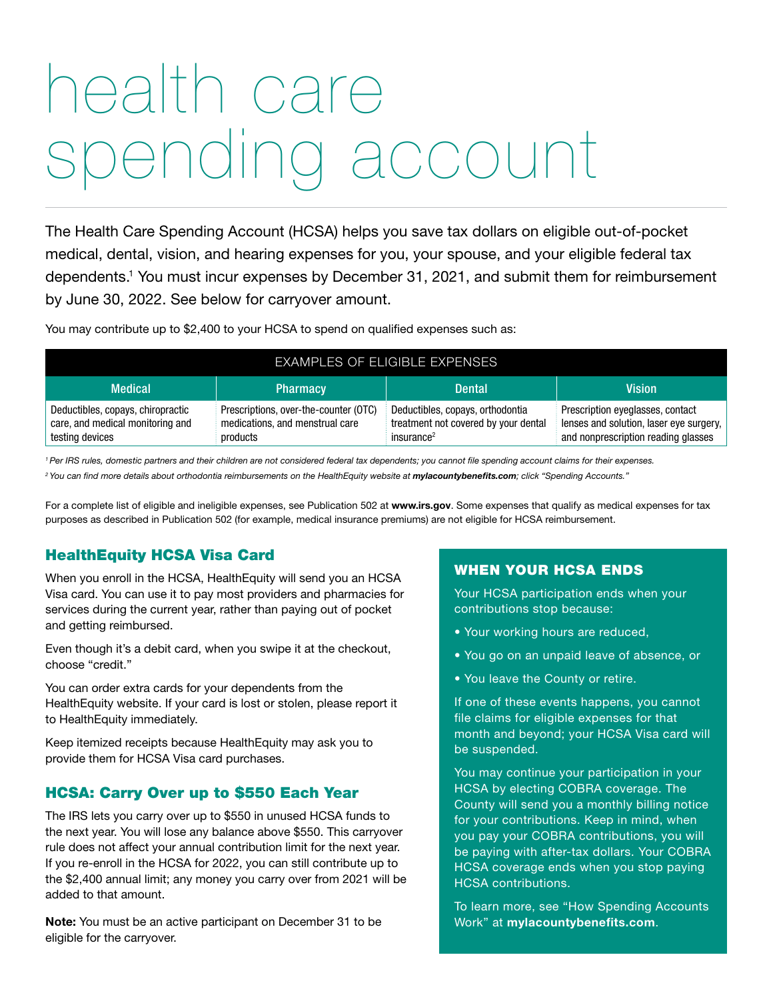### health care pending account

The Health Care Spending Account (HCSA) helps you save tax dollars on eligible out-of-pocket medical, dental, vision, and hearing expenses for you, your spouse, and your eligible federal tax dependents.1 You must incur expenses by December 31, 2021, and submit them for reimbursement by June 30, 2022. See below for carryover amount.

You may contribute up to \$2,400 to your HCSA to spend on qualified expenses such as:

| <b>EXAMPLES OF ELIGIBLE EXPENSES</b>                                                     |                                                                                      |                                                                                                    |                                                                                                                    |  |
|------------------------------------------------------------------------------------------|--------------------------------------------------------------------------------------|----------------------------------------------------------------------------------------------------|--------------------------------------------------------------------------------------------------------------------|--|
| <b>Medical</b>                                                                           | <b>Pharmacy</b>                                                                      | <b>Dental</b>                                                                                      | <b>Vision</b>                                                                                                      |  |
| Deductibles, copays, chiropractic<br>care, and medical monitoring and<br>testing devices | Prescriptions, over-the-counter (OTC)<br>medications, and menstrual care<br>products | Deductibles, copays, orthodontia<br>treatment not covered by your dental<br>insurance <sup>2</sup> | Prescription eyeglasses, contact<br>lenses and solution, laser eye surgery,<br>and nonprescription reading glasses |  |

*1 Per IRS rules, domestic partners and their children are not considered federal tax dependents; you cannot file spending account claims for their expenses.* <sup>2</sup> You can find more details about orthodontia reimbursements on the HealthEquity website at *mylacountybenefits.com*; click "Spending Accounts."

For a complete list of eligible and ineligible expenses, see Publication 502 at www.irs.gov. Some expenses that qualify as medical expenses for tax purposes as described in Publication 502 (for example, medical insurance premiums) are not eligible for HCSA reimbursement.

### HealthEquity HCSA Visa Card

When you enroll in the HCSA, HealthEquity will send you an HCSA Visa card. You can use it to pay most providers and pharmacies for services during the current year, rather than paying out of pocket and getting reimbursed.

Even though it's a debit card, when you swipe it at the checkout, choose "credit."

You can order extra cards for your dependents from the HealthEquity website. If your card is lost or stolen, please report it to HealthEquity immediately.

Keep itemized receipts because HealthEquity may ask you to provide them for HCSA Visa card purchases.

### HCSA: Carry Over up to \$550 Each Year

The IRS lets you carry over up to \$550 in unused HCSA funds to the next year. You will lose any balance above \$550. This carryover rule does not affect your annual contribution limit for the next year. If you re-enroll in the HCSA for 2022, you can still contribute up to the \$2,400 annual limit; any money you carry over from 2021 will be added to that amount.

Note: You must be an active participant on December 31 to be eligible for the carryover.

### WHEN YOUR HCSA ENDS

Your HCSA participation ends when your contributions stop because:

- Your working hours are reduced,
- You go on an unpaid leave of absence, or
- You leave the County or retire.

If one of these events happens, you cannot file claims for eligible expenses for that month and beyond; your HCSA Visa card will be suspended.

You may continue your participation in your HCSA by electing COBRA coverage. The County will send you a monthly billing notice for your contributions. Keep in mind, when you pay your COBRA contributions, you will be paying with after-tax dollars. Your COBRA HCSA coverage ends when you stop paying HCSA contributions.

To learn more, see "How Spending Accounts Work" at mylacountybenefits.com.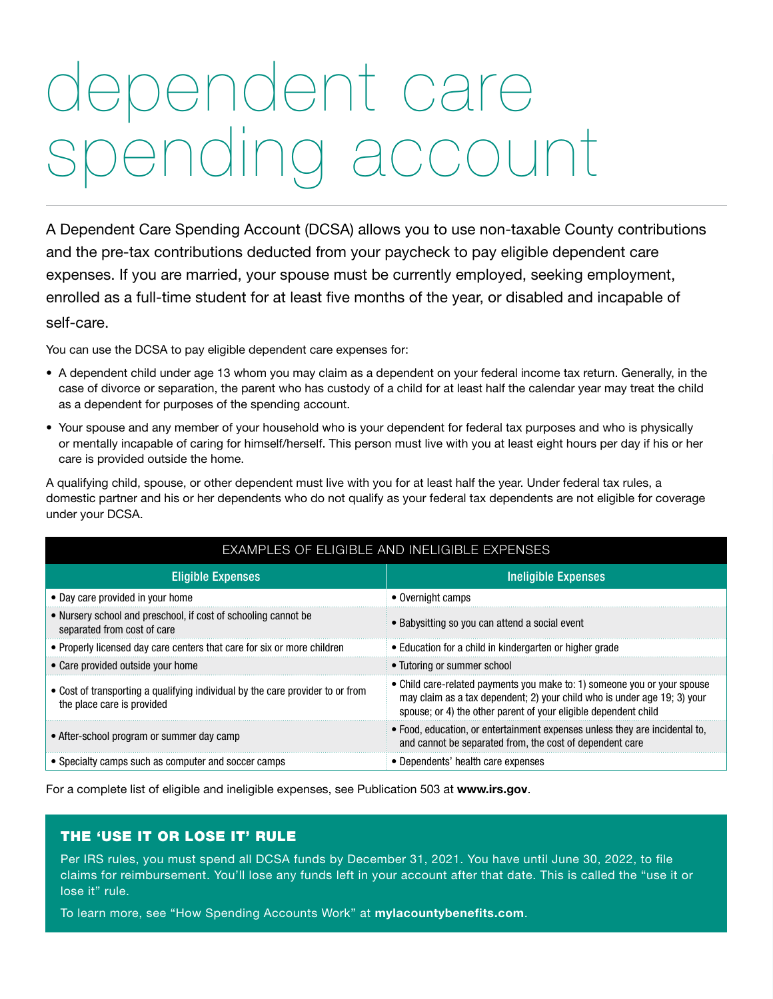### dependent care spending account

A Dependent Care Spending Account (DCSA) allows you to use non-taxable County contributions and the pre-tax contributions deducted from your paycheck to pay eligible dependent care expenses. If you are married, your spouse must be currently employed, seeking employment, enrolled as a full-time student for at least five months of the year, or disabled and incapable of self-care.

You can use the DCSA to pay eligible dependent care expenses for:

- A dependent child under age 13 whom you may claim as a dependent on your federal income tax return. Generally, in the case of divorce or separation, the parent who has custody of a child for at least half the calendar year may treat the child as a dependent for purposes of the spending account.
- Your spouse and any member of your household who is your dependent for federal tax purposes and who is physically or mentally incapable of caring for himself/herself. This person must live with you at least eight hours per day if his or her care is provided outside the home.

A qualifying child, spouse, or other dependent must live with you for at least half the year. Under federal tax rules, a domestic partner and his or her dependents who do not qualify as your federal tax dependents are not eligible for coverage under your DCSA.

| EXAMPLES OF ELIGIBLE AND INELIGIBLE EXPENSES                                                                 |                                                                                                                                                                                                                         |  |
|--------------------------------------------------------------------------------------------------------------|-------------------------------------------------------------------------------------------------------------------------------------------------------------------------------------------------------------------------|--|
| <b>Eligible Expenses</b>                                                                                     | <b>Ineligible Expenses</b>                                                                                                                                                                                              |  |
| • Day care provided in your home                                                                             | • Overnight camps                                                                                                                                                                                                       |  |
| • Nursery school and preschool, if cost of schooling cannot be<br>separated from cost of care                | • Babysitting so you can attend a social event                                                                                                                                                                          |  |
| • Properly licensed day care centers that care for six or more children                                      | • Education for a child in kindergarten or higher grade                                                                                                                                                                 |  |
| • Care provided outside your home                                                                            | • Tutoring or summer school                                                                                                                                                                                             |  |
| • Cost of transporting a qualifying individual by the care provider to or from<br>the place care is provided | • Child care-related payments you make to: 1) someone you or your spouse<br>may claim as a tax dependent; 2) your child who is under age 19; 3) your<br>spouse; or 4) the other parent of your eligible dependent child |  |
| • After-school program or summer day camp                                                                    | • Food, education, or entertainment expenses unless they are incidental to,<br>and cannot be separated from, the cost of dependent care                                                                                 |  |
| • Specialty camps such as computer and soccer camps                                                          | • Dependents' health care expenses                                                                                                                                                                                      |  |

For a complete list of eligible and ineligible expenses, see Publication 503 at www.irs.gov.

### THE 'USE IT OR LOSE IT' RULE

Per IRS rules, you must spend all DCSA funds by December 31, 2021. You have until June 30, 2022, to file claims for reimbursement. You'll lose any funds left in your account after that date. This is called the "use it or lose it" rule.

To learn more, see "How Spending Accounts Work" at mylacountybenefits.com.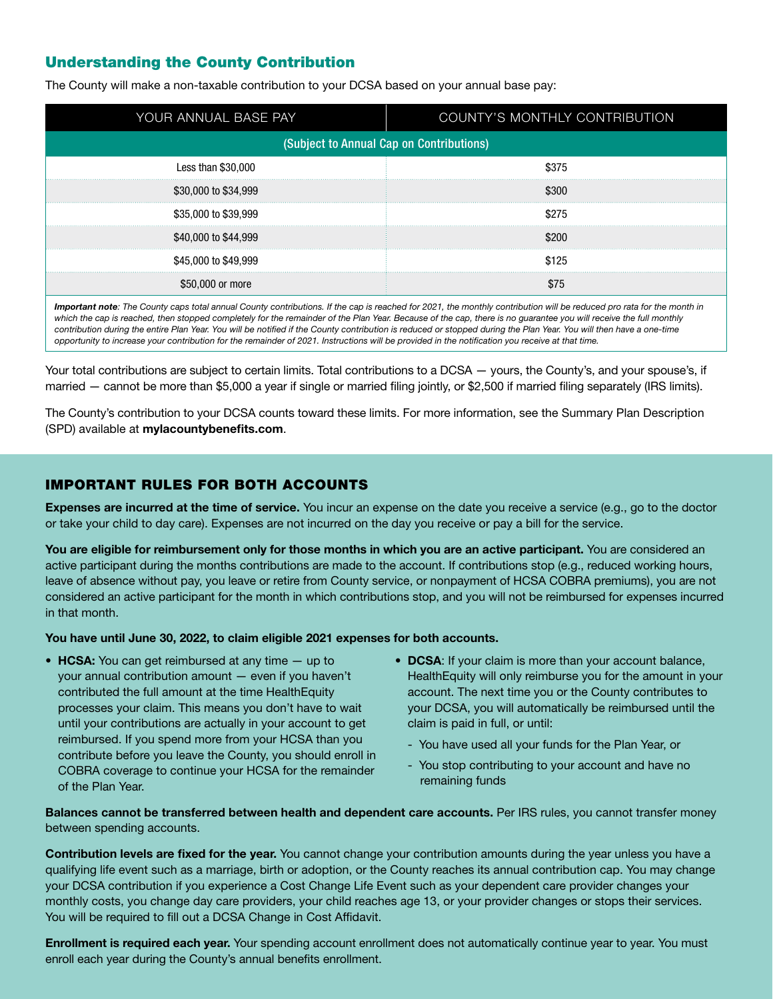### Understanding the County Contribution

The County will make a non-taxable contribution to your DCSA based on your annual base pay:

| YOUR ANNUAL BASE PAY                     | COUNTY'S MONTHLY CONTRIBUTION |  |
|------------------------------------------|-------------------------------|--|
| (Subject to Annual Cap on Contributions) |                               |  |
| Less than \$30,000                       | \$375                         |  |
| \$30,000 to \$34,999                     |                               |  |
| \$35,000 to \$39,999                     |                               |  |
| \$40,000 to \$44,999                     |                               |  |
| \$45,000 to \$49,999                     | \$125                         |  |
| \$50,000 or more                         |                               |  |

*Important note: The County caps total annual County contributions. If the cap is reached for 2021, the monthly contribution will be reduced pro rata for the month in which the cap is reached, then stopped completely for the remainder of the Plan Year. Because of the cap, there is no guarantee you will receive the full monthly contribution during the entire Plan Year. You will be notified if the County contribution is reduced or stopped during the Plan Year. You will then have a one-time opportunity to increase your contribution for the remainder of 2021. Instructions will be provided in the notification you receive at that time.*

Your total contributions are subject to certain limits. Total contributions to a DCSA — yours, the County's, and your spouse's, if married — cannot be more than \$5,000 a year if single or married filing jointly, or \$2,500 if married filing separately (IRS limits).

The County's contribution to your DCSA counts toward these limits. For more information, see the Summary Plan Description (SPD) available at mylacountybenefits.com.

### IMPORTANT RULES FOR BOTH ACCOUNTS

Expenses are incurred at the time of service. You incur an expense on the date you receive a service (e.g., go to the doctor or take your child to day care). Expenses are not incurred on the day you receive or pay a bill for the service.

You are eligible for reimbursement only for those months in which you are an active participant. You are considered an active participant during the months contributions are made to the account. If contributions stop (e.g., reduced working hours, leave of absence without pay, you leave or retire from County service, or nonpayment of HCSA COBRA premiums), you are not considered an active participant for the month in which contributions stop, and you will not be reimbursed for expenses incurred in that month.

You have until June 30, 2022, to claim eligible 2021 expenses for both accounts.

- HCSA: You can get reimbursed at any time up to your annual contribution amount — even if you haven't contributed the full amount at the time HealthEquity processes your claim. This means you don't have to wait until your contributions are actually in your account to get reimbursed. If you spend more from your HCSA than you contribute before you leave the County, you should enroll in COBRA coverage to continue your HCSA for the remainder of the Plan Year.
- DCSA: If your claim is more than your account balance, HealthEquity will only reimburse you for the amount in your account. The next time you or the County contributes to your DCSA, you will automatically be reimbursed until the claim is paid in full, or until:
	- You have used all your funds for the Plan Year, or
	- You stop contributing to your account and have no remaining funds

Balances cannot be transferred between health and dependent care accounts. Per IRS rules, you cannot transfer money between spending accounts.

Contribution levels are fixed for the year. You cannot change your contribution amounts during the year unless you have a qualifying life event such as a marriage, birth or adoption, or the County reaches its annual contribution cap. You may change your DCSA contribution if you experience a Cost Change Life Event such as your dependent care provider changes your monthly costs, you change day care providers, your child reaches age 13, or your provider changes or stops their services. You will be required to fill out a DCSA Change in Cost Affidavit.

Enrollment is required each year. Your spending account enrollment does not automatically continue year to year. You must enroll each year during the County's annual benefits enrollment.